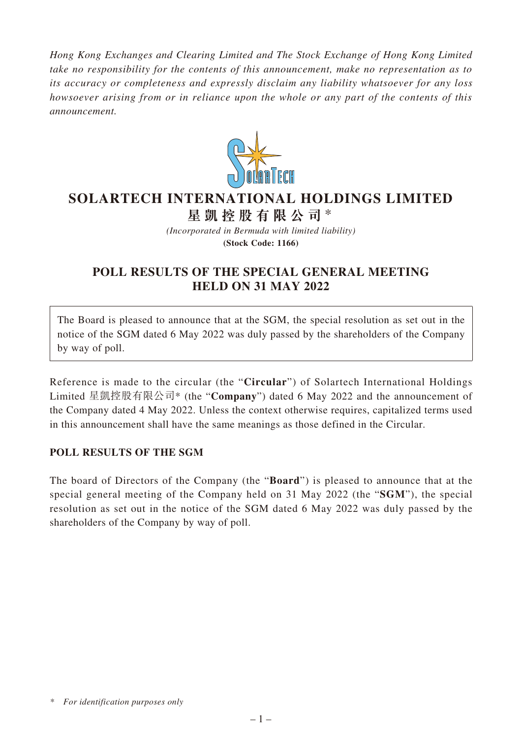*Hong Kong Exchanges and Clearing Limited and The Stock Exchange of Hong Kong Limited take no responsibility for the contents of this announcement, make no representation as to its accuracy or completeness and expressly disclaim any liability whatsoever for any loss howsoever arising from or in reliance upon the whole or any part of the contents of this announcement.*



# **SOLARTECH INTERNATIONAL HOLDINGS LIMITED**

**星凱控股有限公司** \*

*(Incorporated in Bermuda with limited liability)* **(Stock Code: 1166)**

## **POLL RESULTS OF THE SPECIAL GENERAL MEETING HELD ON 31 MAY 2022**

The Board is pleased to announce that at the SGM, the special resolution as set out in the notice of the SGM dated 6 May 2022 was duly passed by the shareholders of the Company by way of poll.

Reference is made to the circular (the "**Circular**") of Solartech International Holdings Limited 星凱控股有限公司\* (the "**Company**") dated 6 May 2022 and the announcement of the Company dated 4 May 2022. Unless the context otherwise requires, capitalized terms used in this announcement shall have the same meanings as those defined in the Circular.

### **POLL RESULTS OF THE SGM**

The board of Directors of the Company (the "**Board**") is pleased to announce that at the special general meeting of the Company held on 31 May 2022 (the "**SGM**"), the special resolution as set out in the notice of the SGM dated 6 May 2022 was duly passed by the shareholders of the Company by way of poll.

*<sup>\*</sup> For identification purposes only*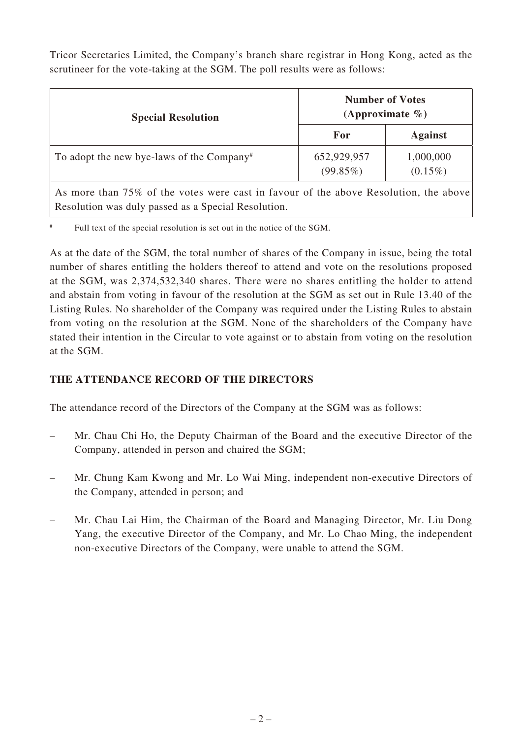Tricor Secretaries Limited, the Company's branch share registrar in Hong Kong, acted as the scrutineer for the vote-taking at the SGM. The poll results were as follows:

| <b>Special Resolution</b>                             | <b>Number of Votes</b><br>(Approximate $\%$ ) |                         |
|-------------------------------------------------------|-----------------------------------------------|-------------------------|
|                                                       | For                                           | <b>Against</b>          |
| To adopt the new bye-laws of the Company <sup>#</sup> | 652,929,957<br>(99.85%)                       | 1,000,000<br>$(0.15\%)$ |

As more than 75% of the votes were cast in favour of the above Resolution, the above Resolution was duly passed as a Special Resolution.

Full text of the special resolution is set out in the notice of the SGM.

As at the date of the SGM, the total number of shares of the Company in issue, being the total number of shares entitling the holders thereof to attend and vote on the resolutions proposed at the SGM, was 2,374,532,340 shares. There were no shares entitling the holder to attend and abstain from voting in favour of the resolution at the SGM as set out in Rule 13.40 of the Listing Rules. No shareholder of the Company was required under the Listing Rules to abstain from voting on the resolution at the SGM. None of the shareholders of the Company have stated their intention in the Circular to vote against or to abstain from voting on the resolution at the SGM.

## **THE ATTENDANCE RECORD OF THE DIRECTORS**

The attendance record of the Directors of the Company at the SGM was as follows:

- Mr. Chau Chi Ho, the Deputy Chairman of the Board and the executive Director of the Company, attended in person and chaired the SGM;
- Mr. Chung Kam Kwong and Mr. Lo Wai Ming, independent non-executive Directors of the Company, attended in person; and
- Mr. Chau Lai Him, the Chairman of the Board and Managing Director, Mr. Liu Dong Yang, the executive Director of the Company, and Mr. Lo Chao Ming, the independent non-executive Directors of the Company, were unable to attend the SGM.